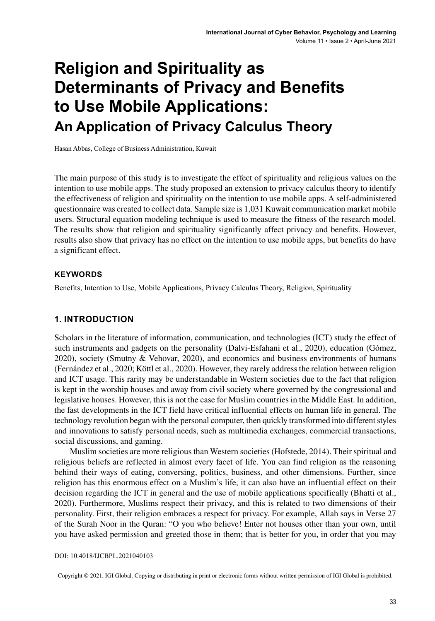# **Religion and Spirituality as Determinants of Privacy and Benefits to Use Mobile Applications: An Application of Privacy Calculus Theory**

Hasan Abbas, College of Business Administration, Kuwait

The main purpose of this study is to investigate the effect of spirituality and religious values on the intention to use mobile apps. The study proposed an extension to privacy calculus theory to identify the effectiveness of religion and spirituality on the intention to use mobile apps. A self-administered questionnaire was created to collect data. Sample size is 1,031 Kuwait communication market mobile users. Structural equation modeling technique is used to measure the fitness of the research model. The results show that religion and spirituality significantly affect privacy and benefits. However, results also show that privacy has no effect on the intention to use mobile apps, but benefits do have a significant effect.

#### **Keywords**

Benefits, Intention to Use, Mobile Applications, Privacy Calculus Theory, Religion, Spirituality

#### **1. INTRODUCTION**

Scholars in the literature of information, communication, and technologies (ICT) study the effect of such instruments and gadgets on the personality (Dalvi-Esfahani et al., 2020), education (Gómez, 2020), society (Smutny & Vehovar, 2020), and economics and business environments of humans (Fernández et al., 2020; Köttl et al., 2020). However, they rarely addressthe relation between religion and ICT usage. This rarity may be understandable in Western societies due to the fact that religion is kept in the worship houses and away from civil society where governed by the congressional and legislative houses. However, this is not the case for Muslim countries in the Middle East. In addition, the fast developments in the ICT field have critical influential effects on human life in general. The technology revolution began with the personal computer, then quickly transformed into differentstyles and innovations to satisfy personal needs, such as multimedia exchanges, commercial transactions, social discussions, and gaming.

Muslim societies are more religious than Western societies (Hofstede, 2014). Their spiritual and religious beliefs are reflected in almost every facet of life. You can find religion as the reasoning behind their ways of eating, conversing, politics, business, and other dimensions. Further, since religion has this enormous effect on a Muslim's life, it can also have an influential effect on their decision regarding the ICT in general and the use of mobile applications specifically (Bhatti et al., 2020). Furthermore, Muslims respect their privacy, and this is related to two dimensions of their personality. First, their religion embraces a respect for privacy. For example, Allah says in Verse 27 of the Surah Noor in the Quran: "O you who believe! Enter not houses other than your own, until you have asked permission and greeted those in them; that is better for you, in order that you may

DOI: 10.4018/IJCBPL.2021040103

Copyright © 2021, IGI Global. Copying or distributing in print or electronic forms without written permission of IGI Global is prohibited.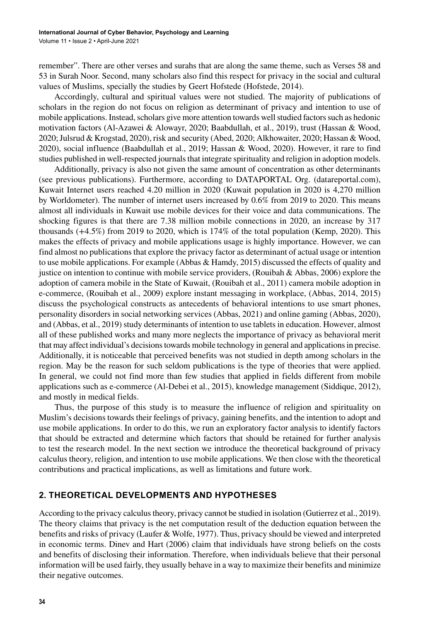remember". There are other verses and surahs that are along the same theme, such as Verses 58 and 53 in Surah Noor. Second, many scholars also find this respect for privacy in the social and cultural values of Muslims, specially the studies by Geert Hofstede (Hofstede, 2014).

Accordingly, cultural and spiritual values were not studied. The majority of publications of scholars in the region do not focus on religion as determinant of privacy and intention to use of mobile applications. Instead, scholars give more attention towards well studied factors such as hedonic motivation factors (Al-Azawei & Alowayr, 2020; Baabdullah, et al., 2019), trust (Hassan & Wood, 2020; Julsrud & Krogstad, 2020), risk and security (Abed, 2020; Alkhowaiter, 2020; Hassan & Wood, 2020), social influence (Baabdullah et al., 2019; Hassan & Wood, 2020). However, it rare to find studies published in well-respected journals that integrate spirituality and religion in adoption models.

Additionally, privacy is also not given the same amount of concentration as other determinants (see previous publications). Furthermore, according to DATAPORTAL Org. (datareportal.com), Kuwait Internet users reached 4.20 million in 2020 (Kuwait population in 2020 is 4,270 million by Worldometer). The number of internet users increased by 0.6% from 2019 to 2020. This means almost all individuals in Kuwait use mobile devices for their voice and data communications. The shocking figures is that there are 7.38 million mobile connections in 2020, an increase by 317 thousands (+4.5%) from 2019 to 2020, which is 174% of the total population (Kemp, 2020). This makes the effects of privacy and mobile applications usage is highly importance. However, we can find almost no publications that explore the privacy factor as determinant of actual usage or intention to use mobile applications. For example (Abbas & Hamdy, 2015) discussed the effects of quality and justice on intention to continue with mobile service providers, (Rouibah & Abbas, 2006) explore the adoption of camera mobile in the State of Kuwait, (Rouibah et al., 2011) camera mobile adoption in e-commerce, (Rouibah et al., 2009) explore instant messaging in workplace, (Abbas, 2014, 2015) discuss the psychological constructs as antecedents of behavioral intentions to use smart phones, personality disorders in social networking services (Abbas, 2021) and online gaming (Abbas, 2020), and (Abbas, et al., 2019) study determinants of intention to use tablets in education. However, almost all of these published works and many more neglects the importance of privacy as behavioral merit that may affect individual's decisionstowards mobile technology in general and applicationsin precise. Additionally, it is noticeable that perceived benefits was not studied in depth among scholars in the region. May be the reason for such seldom publications is the type of theories that were applied. In general, we could not find more than few studies that applied in fields different from mobile applications such as e-commerce (Al-Debei et al., 2015), knowledge management (Siddique, 2012), and mostly in medical fields.

Thus, the purpose of this study is to measure the influence of religion and spirituality on Muslim's decisions towards their feelings of privacy, gaining benefits, and the intention to adopt and use mobile applications. In order to do this, we run an exploratory factor analysis to identify factors that should be extracted and determine which factors that should be retained for further analysis to test the research model. In the next section we introduce the theoretical background of privacy calculus theory, religion, and intention to use mobile applications. We then close with the theoretical contributions and practical implications, as well as limitations and future work.

#### **2. THEORETICAL DEVELOPMENTS AND HYPOTHESES**

According to the privacy calculus theory, privacy cannot be studied in isolation (Gutierrez et al., 2019). The theory claims that privacy is the net computation result of the deduction equation between the benefits and risks of privacy (Laufer & Wolfe, 1977). Thus, privacy should be viewed and interpreted in economic terms. Dinev and Hart (2006) claim that individuals have strong beliefs on the costs and benefits of disclosing their information. Therefore, when individuals believe that their personal information will be used fairly, they usually behave in a way to maximize their benefits and minimize their negative outcomes.